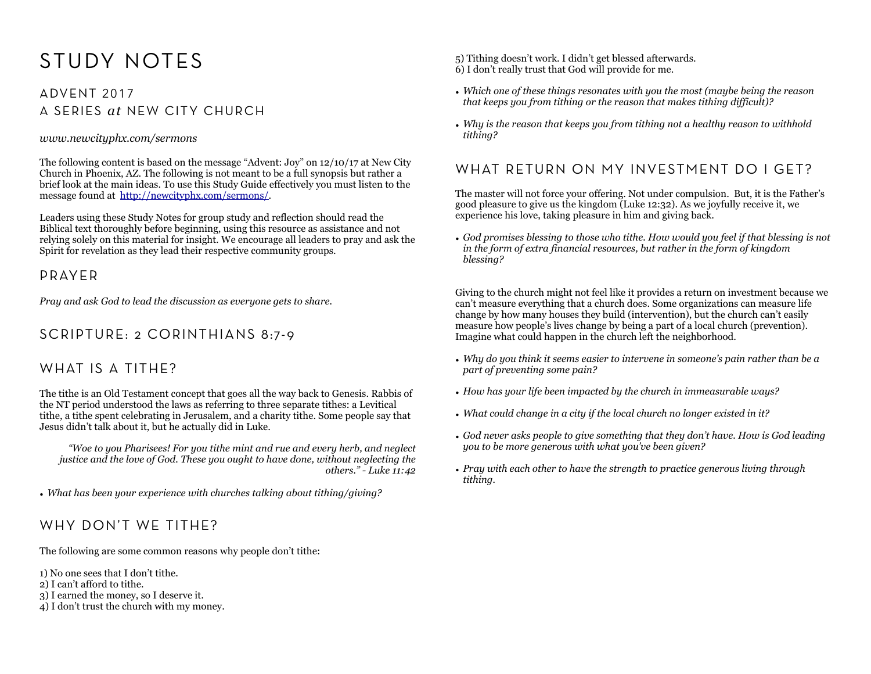# STUDY NOTES

### ADVENT 2017 A SERIES *at* NEW CITY CHURCH

#### *www.newcityphx.com/sermons*

The following content is based on the message "Advent: Joy" on 12/10/17 at New City Church in Phoenix, AZ. The following is not meant to be a full synopsis but rather a brief look at the main ideas. To use this Study Guide effectively you must listen to the message found at <http://newcityphx.com/sermons/>.

Leaders using these Study Notes for group study and reflection should read the Biblical text thoroughly before beginning, using this resource as assistance and not relying solely on this material for insight. We encourage all leaders to pray and ask the Spirit for revelation as they lead their respective community groups.

#### PRAYER

*Pray and ask God to lead the discussion as everyone gets to share.* 

## SCRIPTURE: 2 CORINTHIANS 8:7-9

### WHAT IS A TITHE?

The tithe is an Old Testament concept that goes all the way back to Genesis. Rabbis of the NT period understood the laws as referring to three separate tithes: a Levitical tithe, a tithe spent celebrating in Jerusalem, and a charity tithe. Some people say that Jesus didn't talk about it, but he actually did in Luke.

*"Woe to you Pharisees! For you tithe mint and rue and every herb, and neglect justice and the love of God. These you ought to have done, without neglecting the others." - Luke 11:42* 

*• What has been your experience with churches talking about tithing/giving?* 

### WHY DON'T WE TITHE?

The following are some common reasons why people don't tithe:

- 1) No one sees that I don't tithe.
- 2) I can't afford to tithe.
- 3) I earned the money, so I deserve it.
- 4) I don't trust the church with my money.

5) Tithing doesn't work. I didn't get blessed afterwards. 6) I don't really trust that God will provide for me.

- *• Which one of these things resonates with you the most (maybe being the reason that keeps you from tithing or the reason that makes tithing difficult)?*
- *• Why is the reason that keeps you from tithing not a healthy reason to withhold tithing?*

## WHAT RETURN ON MY INVESTMENT DO I GET?

The master will not force your offering. Not under compulsion. But, it is the Father's good pleasure to give us the kingdom (Luke 12:32). As we joyfully receive it, we experience his love, taking pleasure in him and giving back.

*• God promises blessing to those who tithe. How would you feel if that blessing is not in the form of extra financial resources, but rather in the form of kingdom blessing?* 

Giving to the church might not feel like it provides a return on investment because we can't measure everything that a church does. Some organizations can measure life change by how many houses they build (intervention), but the church can't easily measure how people's lives change by being a part of a local church (prevention). Imagine what could happen in the church left the neighborhood.

- *• Why do you think it seems easier to intervene in someone's pain rather than be a part of preventing some pain?*
- *• How has your life been impacted by the church in immeasurable ways?*
- *• What could change in a city if the local church no longer existed in it?*
- *• God never asks people to give something that they don't have. How is God leading you to be more generous with what you've been given?*
- *• Pray with each other to have the strength to practice generous living through tithing.*